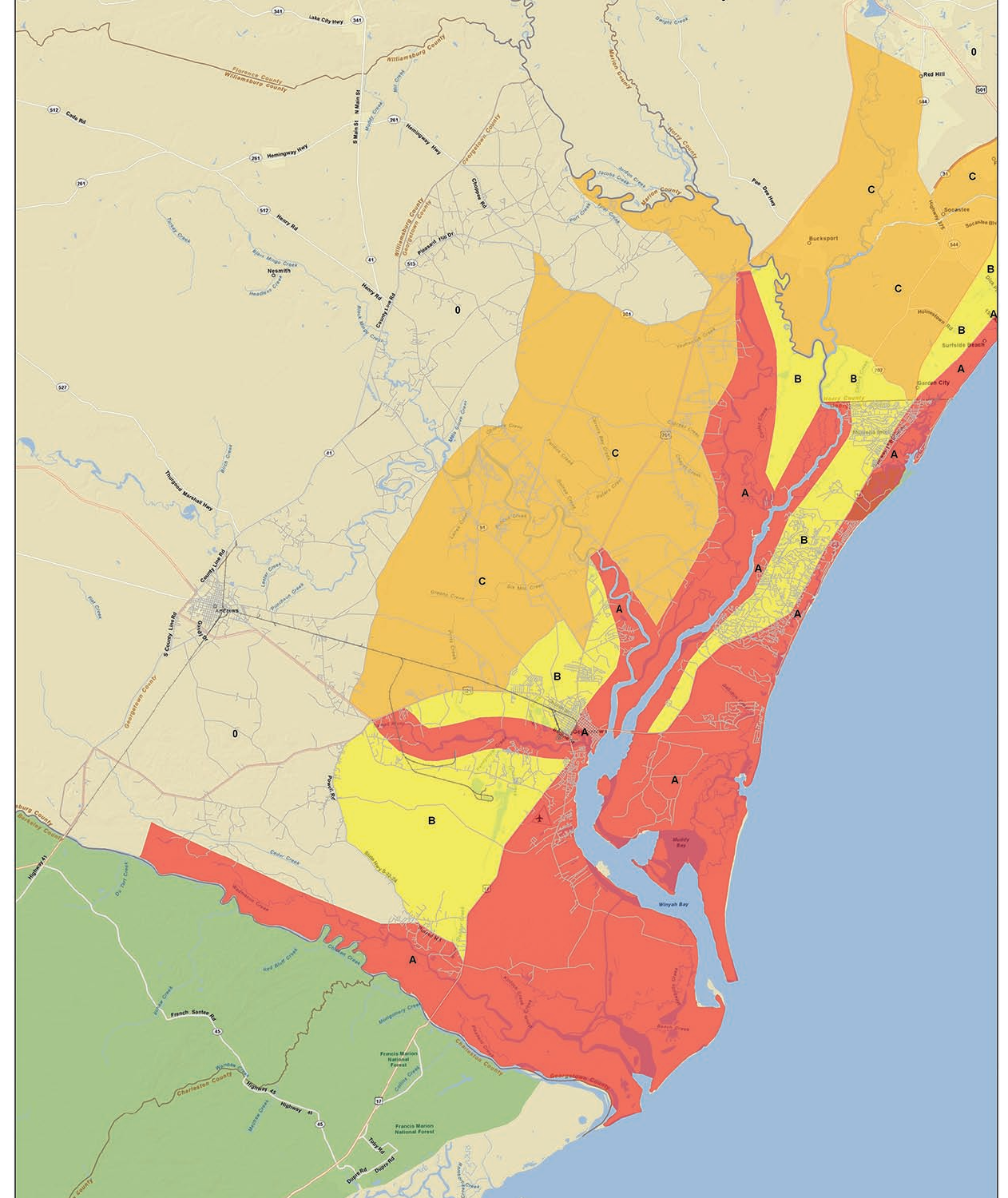